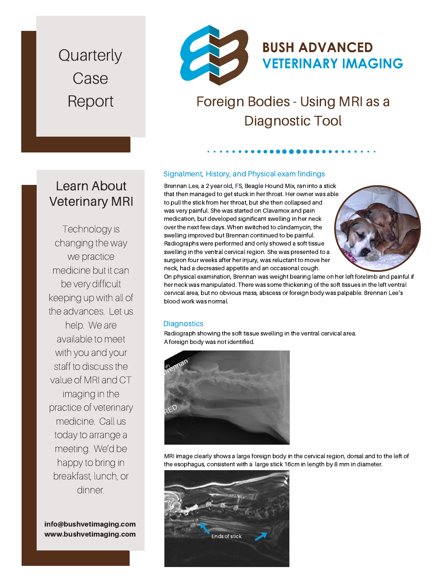**Quarterly** Case Report



## Foreign Bodies - Using MRI as a Diagnostic Tool

#### Signalment, History, and Physical exam findings

Brennan Lee, a 2 year old, FS, Beagle Hound Mix, ran into a stick that then managed to get stuck in her throat. Her owner was able to pull the stick from her throat, but she then collapsed and was very painful. She was started on Clavamox and pain medication, but developed significant swelling in her neck over the next few days. When switched to clindamycin, the swelling improved but Brennan continued to be painful. Radiographs were performed and only showed a soft tissue swelling in the ventral cervical region. She was presented to a surgeon four weeks after her injury, was reluctant to move her neck, had a decreased appetite and an occasional cough.



On physical examination, Brennan was weight bearing lame on her left forelimb and painful if her neck was manipulated. There was some thickening of the soft tissues in the left ventral cervical area, but no obvious mass, abscess or foreign body was palpable. Brennan Lee's blood work was normal.

#### **Diagnostics**

Radiograph showing the soft tissue swelling in the ventral cervical area. A foreign body was not identified.



MRI image clearly shows a large foreign body in the cervical region, dorsal and to the left of the esophagus, consistent with a large stick 16cm in length by 8 mm in diameter.



### Learn About Veterinary MRI

Technology is changing the way we practice medicine but it can be very difficult keeping up with all of the advances. Let us help. We are available to meet with you and your staff to discuss the value of MRI and CT imaging in the practice of veterinary medicine. Call us today to arrange a meeting. We'd be happy to bring in breakfast, lunch, or dinner.

www.bushvetimaging.com info@bushvetimaging.com